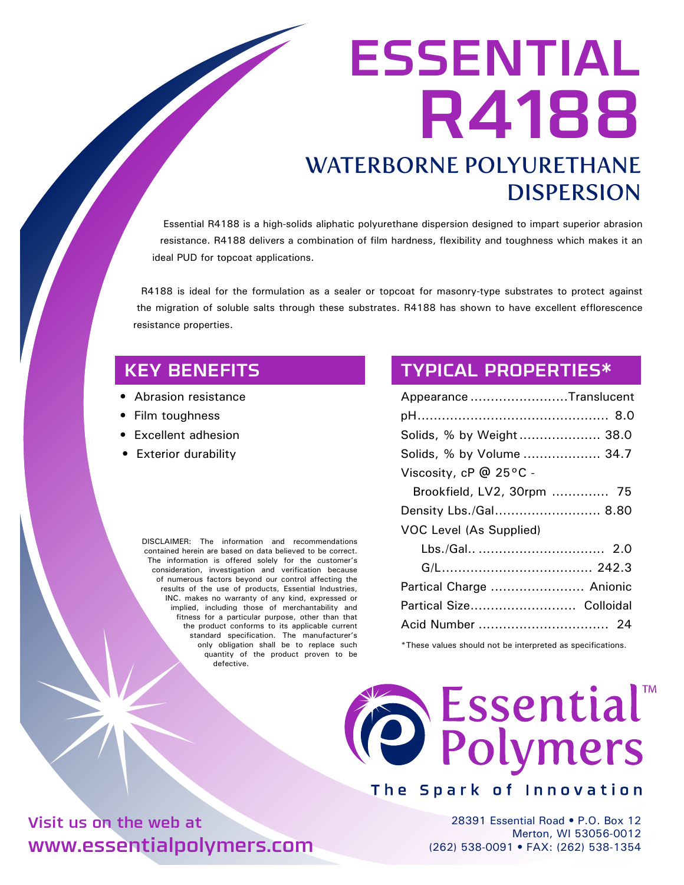# ESSENTIAL R4188 WATERBORNE POLYURETHANE DISPERSION

Essential R4188 is a high-solids aliphatic polyurethane dispersion designed to impart superior abrasion resistance. R4188 delivers a combination of film hardness, flexibility and toughness which makes it an ideal PUD for topcoat applications.

R4188 is ideal for the formulation as a sealer or topcoat for masonry-type substrates to protect against the migration of soluble salts through these substrates. R4188 has shown to have excellent efflorescence resistance properties.

# KEY BENEFITS

- Abrasion resistance
- Film toughness
- Excellent adhesion
- Exterior durability

DISCLAIMER: The information and recommendations contained herein are based on data believed to be correct. The information is offered solely for the customer's consideration, investigation and verification because of numerous factors beyond our control affecting the results of the use of products, Essential Industries, INC. makes no warranty of any kind, expressed or implied, including those of merchantability and fitness for a particular purpose, other than that the product conforms to its applicable current standard specification. The manufacturer's only obligation shall be to replace such quantity of the product proven to be defective.

### TYPICAL PROPERTIES\*

\*These values should not be interpreted as specifications.



### The Spark of Innovation

28391 Essential Road • P.O. Box 12 Merton, WI 53056-0012 (262) 538-0091 • FAX: (262) 538-1354

Visit us on the web at www.essentialpolymers.com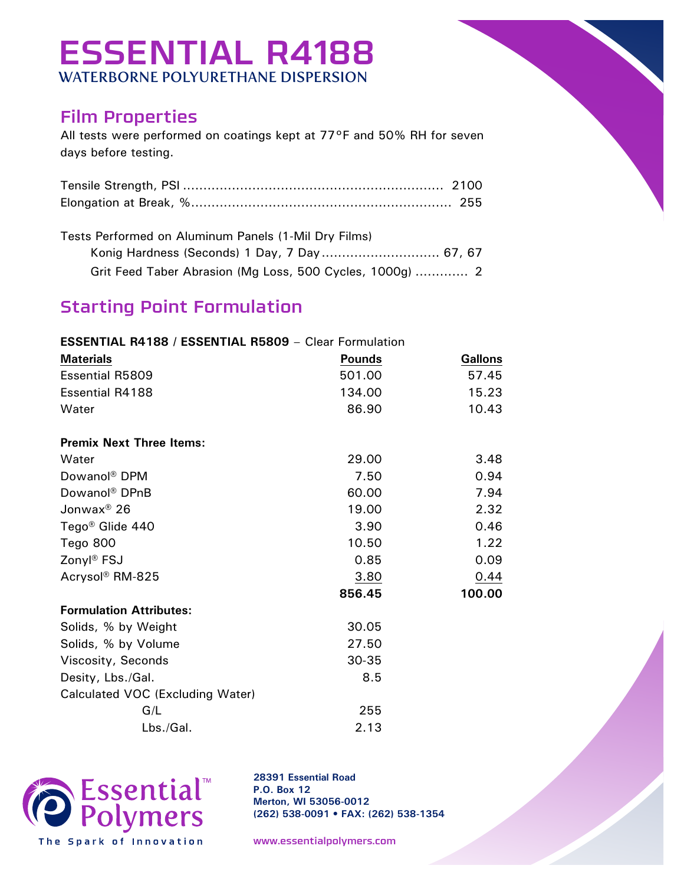# ESSENTIAL R4188 WATERBORNE POLYURETHANE DISPERSION

# Film Properties

All tests were performed on coatings kept at 77°F and 50% RH for seven days before testing.

Tests Performed on Aluminum Panels (1-Mil Dry Films)

| Grit Feed Taber Abrasion (Mg Loss, 500 Cycles, 1000g)  2 |  |
|----------------------------------------------------------|--|

# Starting Point Formulation

#### **ESSENTIAL R4188 / ESSENTIAL R5809** – Clear Formulation

| <b>Materials</b>                 | <b>Pounds</b> | <b>Gallons</b> |
|----------------------------------|---------------|----------------|
| <b>Essential R5809</b>           | 501.00        | 57.45          |
| <b>Essential R4188</b>           | 134.00        | 15.23          |
| Water                            | 86.90         | 10.43          |
| <b>Premix Next Three Items:</b>  |               |                |
| Water                            | 29.00         | 3.48           |
| Dowanol <sup>®</sup> DPM         | 7.50          | 0.94           |
| Dowanol <sup>®</sup> DPnB        | 60.00         | 7.94           |
| Jonwax <sup>®</sup> 26           | 19.00         | 2.32           |
| Tego <sup>®</sup> Glide 440      | 3.90          | 0.46           |
| Tego 800                         | 10.50         | 1.22           |
| Zonyl® FSJ                       | 0.85          | 0.09           |
| Acrysol <sup>®</sup> RM-825      | 3.80          | 0.44           |
|                                  | 856.45        | 100.00         |
| <b>Formulation Attributes:</b>   |               |                |
| Solids, % by Weight              | 30.05         |                |
| Solids, % by Volume              | 27.50         |                |
| Viscosity, Seconds               | $30 - 35$     |                |
| Desity, Lbs./Gal.                | 8.5           |                |
| Calculated VOC (Excluding Water) |               |                |
| G/L                              | 255           |                |
| Lbs./Gal.                        | 2.13          |                |



**28391 Essential Road P.O. Box 12 Merton, WI 53056-0012 (262) 538-0091 • FAX: (262) 538-1354**

www.essentialpolymers.com